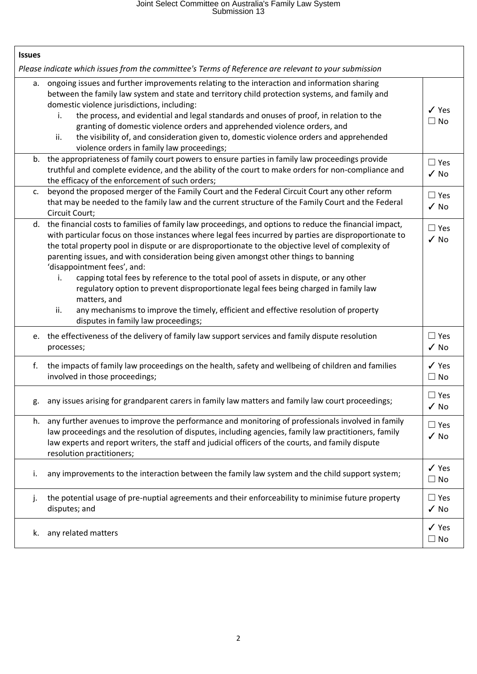| <b>Issues</b>                                                                                                                                                                                                                                                                                                                                                                                                                                                                                                                                                                                                                                                                                                                                                                                  |                                          |
|------------------------------------------------------------------------------------------------------------------------------------------------------------------------------------------------------------------------------------------------------------------------------------------------------------------------------------------------------------------------------------------------------------------------------------------------------------------------------------------------------------------------------------------------------------------------------------------------------------------------------------------------------------------------------------------------------------------------------------------------------------------------------------------------|------------------------------------------|
| Please indicate which issues from the committee's Terms of Reference are relevant to your submission                                                                                                                                                                                                                                                                                                                                                                                                                                                                                                                                                                                                                                                                                           |                                          |
| ongoing issues and further improvements relating to the interaction and information sharing<br>а.<br>between the family law system and state and territory child protection systems, and family and<br>domestic violence jurisdictions, including:<br>the process, and evidential and legal standards and onuses of proof, in relation to the<br>i.<br>granting of domestic violence orders and apprehended violence orders, and<br>the visibility of, and consideration given to, domestic violence orders and apprehended<br>ii.<br>violence orders in family law proceedings;<br>b. the appropriateness of family court powers to ensure parties in family law proceedings provide<br>truthful and complete evidence, and the ability of the court to make orders for non-compliance and    | $\sqrt{Y}$ es<br>$\Box$ No<br>$\Box$ Yes |
| the efficacy of the enforcement of such orders;                                                                                                                                                                                                                                                                                                                                                                                                                                                                                                                                                                                                                                                                                                                                                | $\sqrt{NQ}$                              |
| beyond the proposed merger of the Family Court and the Federal Circuit Court any other reform<br>c.<br>that may be needed to the family law and the current structure of the Family Court and the Federal<br>Circuit Court;                                                                                                                                                                                                                                                                                                                                                                                                                                                                                                                                                                    | $\Box$ Yes<br>$\sqrt{NQ}$                |
| the financial costs to families of family law proceedings, and options to reduce the financial impact,<br>d.<br>with particular focus on those instances where legal fees incurred by parties are disproportionate to<br>the total property pool in dispute or are disproportionate to the objective level of complexity of<br>parenting issues, and with consideration being given amongst other things to banning<br>'disappointment fees', and:<br>capping total fees by reference to the total pool of assets in dispute, or any other<br>i.<br>regulatory option to prevent disproportionate legal fees being charged in family law<br>matters, and<br>any mechanisms to improve the timely, efficient and effective resolution of property<br>ii.<br>disputes in family law proceedings; | $\Box$ Yes<br>$\sqrt{NQ}$                |
| the effectiveness of the delivery of family law support services and family dispute resolution<br>e.<br>processes;                                                                                                                                                                                                                                                                                                                                                                                                                                                                                                                                                                                                                                                                             | $\Box$ Yes<br>$\sqrt{NQ}$                |
| the impacts of family law proceedings on the health, safety and wellbeing of children and families<br>f.<br>involved in those proceedings;                                                                                                                                                                                                                                                                                                                                                                                                                                                                                                                                                                                                                                                     | $\checkmark$ Yes<br>$\square$ No         |
| any issues arising for grandparent carers in family law matters and family law court proceedings;<br>g.                                                                                                                                                                                                                                                                                                                                                                                                                                                                                                                                                                                                                                                                                        | $\Box$ Yes<br>$\sqrt{NQ}$                |
| any further avenues to improve the performance and monitoring of professionals involved in family<br>h.<br>law proceedings and the resolution of disputes, including agencies, family law practitioners, family<br>law experts and report writers, the staff and judicial officers of the courts, and family dispute<br>resolution practitioners;                                                                                                                                                                                                                                                                                                                                                                                                                                              | $\square$ Yes<br>$\sqrt{NQ}$             |
| any improvements to the interaction between the family law system and the child support system;<br>i.                                                                                                                                                                                                                                                                                                                                                                                                                                                                                                                                                                                                                                                                                          | $\checkmark$ Yes<br>$\Box$ No            |
| the potential usage of pre-nuptial agreements and their enforceability to minimise future property<br>j.<br>disputes; and                                                                                                                                                                                                                                                                                                                                                                                                                                                                                                                                                                                                                                                                      | $\Box$ Yes<br>$\sqrt{NQ}$                |
| any related matters<br>k.                                                                                                                                                                                                                                                                                                                                                                                                                                                                                                                                                                                                                                                                                                                                                                      | $\sqrt{Y}$ es<br>$\Box$ No               |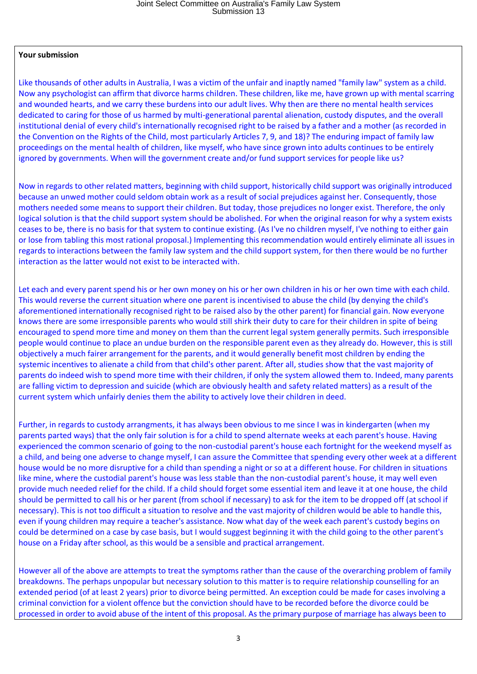### **Your submission**

Like thousands of other adults in Australia, I was a victim of the unfair and inaptly named "family law" system as a child. Now any psychologist can affirm that divorce harms children. These children, like me, have grown up with mental scarring and wounded hearts, and we carry these burdens into our adult lives. Why then are there no mental health services dedicated to caring for those of us harmed by multi-generational parental alienation, custody disputes, and the overall institutional denial of every child's internationally recognised right to be raised by a father and a mother (as recorded in the Convention on the Rights of the Child, most particularly Articles 7, 9, and 18)? The enduring impact of family law proceedings on the mental health of children, like myself, who have since grown into adults continues to be entirely ignored by governments. When will the government create and/or fund support services for people like us?

Now in regards to other related matters, beginning with child support, historically child support was originally introduced because an unwed mother could seldom obtain work as a result of social prejudices against her. Consequently, those mothers needed some means to support their children. But today, those prejudices no longer exist. Therefore, the only logical solution is that the child support system should be abolished. For when the original reason for why a system exists ceases to be, there is no basis for that system to continue existing. (As I've no children myself, I've nothing to either gain or lose from tabling this most rational proposal.) Implementing this recommendation would entirely eliminate all issues in regards to interactions between the family law system and the child support system, for then there would be no further interaction as the latter would not exist to be interacted with.

Let each and every parent spend his or her own money on his or her own children in his or her own time with each child. This would reverse the current situation where one parent is incentivised to abuse the child (by denying the child's aforementioned internationally recognised right to be raised also by the other parent) for financial gain. Now everyone knows there are some irresponsible parents who would still shirk their duty to care for their children in spite of being encouraged to spend more time and money on them than the current legal system generally permits. Such irresponsible people would continue to place an undue burden on the responsible parent even as they already do. However, this is still objectively a much fairer arrangement for the parents, and it would generally benefit most children by ending the systemic incentives to alienate a child from that child's other parent. After all, studies show that the vast majority of parents do indeed wish to spend more time with their children, if only the system allowed them to. Indeed, many parents are falling victim to depression and suicide (which are obviously health and safety related matters) as a result of the current system which unfairly denies them the ability to actively love their children in deed.

Further, in regards to custody arrangments, it has always been obvious to me since I was in kindergarten (when my parents parted ways) that the only fair solution is for a child to spend alternate weeks at each parent's house. Having experienced the common scenario of going to the non-custodial parent's house each fortnight for the weekend myself as a child, and being one adverse to change myself, I can assure the Committee that spending every other week at a different house would be no more disruptive for a child than spending a night or so at a different house. For children in situations like mine, where the custodial parent's house was less stable than the non-custodial parent's house, it may well even provide much needed relief for the child. If a child should forget some essential item and leave it at one house, the child should be permitted to call his or her parent (from school if necessary) to ask for the item to be dropped off (at school if necessary). This is not too difficult a situation to resolve and the vast majority of children would be able to handle this, even if young children may require a teacher's assistance. Now what day of the week each parent's custody begins on could be determined on a case by case basis, but I would suggest beginning it with the child going to the other parent's house on a Friday after school, as this would be a sensible and practical arrangement.

However all of the above are attempts to treat the symptoms rather than the cause of the overarching problem of family breakdowns. The perhaps unpopular but necessary solution to this matter is to require relationship counselling for an extended period (of at least 2 years) prior to divorce being permitted. An exception could be made for cases involving a criminal conviction for a violent offence but the conviction should have to be recorded before the divorce could be processed in order to avoid abuse of the intent of this proposal. As the primary purpose of marriage has always been to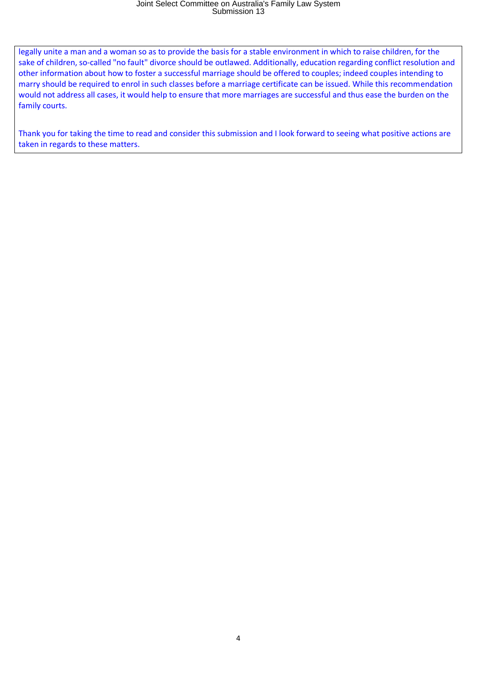legally unite a man and a woman so as to provide the basis for a stable environment in which to raise children, for the sake of children, so-called "no fault" divorce should be outlawed. Additionally, education regarding conflict resolution and other information about how to foster a successful marriage should be offered to couples; indeed couples intending to marry should be required to enrol in such classes before a marriage certificate can be issued. While this recommendation would not address all cases, it would help to ensure that more marriages are successful and thus ease the burden on the family courts.

Thank you for taking the time to read and consider this submission and I look forward to seeing what positive actions are taken in regards to these matters.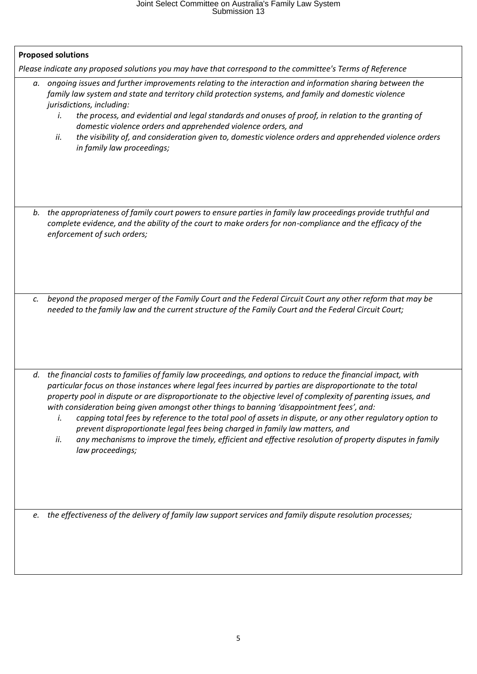|    | <b>Proposed solutions</b>                                                                                                                                                                                                                                                                                                                                                                                                                                                                                                                                                                                                                                                                                                                                                             |
|----|---------------------------------------------------------------------------------------------------------------------------------------------------------------------------------------------------------------------------------------------------------------------------------------------------------------------------------------------------------------------------------------------------------------------------------------------------------------------------------------------------------------------------------------------------------------------------------------------------------------------------------------------------------------------------------------------------------------------------------------------------------------------------------------|
|    | Please indicate any proposed solutions you may have that correspond to the committee's Terms of Reference                                                                                                                                                                                                                                                                                                                                                                                                                                                                                                                                                                                                                                                                             |
| а. | ongoing issues and further improvements relating to the interaction and information sharing between the<br>family law system and state and territory child protection systems, and family and domestic violence<br>jurisdictions, including:<br>the process, and evidential and legal standards and onuses of proof, in relation to the granting of<br>i.<br>domestic violence orders and apprehended violence orders, and<br>the visibility of, and consideration given to, domestic violence orders and apprehended violence orders<br>ii.<br>in family law proceedings;                                                                                                                                                                                                            |
|    | b. the appropriateness of family court powers to ensure parties in family law proceedings provide truthful and<br>complete evidence, and the ability of the court to make orders for non-compliance and the efficacy of the<br>enforcement of such orders;                                                                                                                                                                                                                                                                                                                                                                                                                                                                                                                            |
| C. | beyond the proposed merger of the Family Court and the Federal Circuit Court any other reform that may be<br>needed to the family law and the current structure of the Family Court and the Federal Circuit Court;                                                                                                                                                                                                                                                                                                                                                                                                                                                                                                                                                                    |
|    | d. the financial costs to families of family law proceedings, and options to reduce the financial impact, with<br>particular focus on those instances where legal fees incurred by parties are disproportionate to the total<br>property pool in dispute or are disproportionate to the objective level of complexity of parenting issues, and<br>with consideration being given amongst other things to banning 'disappointment fees', and:<br>capping total fees by reference to the total pool of assets in dispute, or any other regulatory option to<br>i.<br>prevent disproportionate legal fees being charged in family law matters, and<br>any mechanisms to improve the timely, efficient and effective resolution of property disputes in family<br>ii.<br>law proceedings; |
|    | e. the effectiveness of the delivery of family law support services and family dispute resolution processes;                                                                                                                                                                                                                                                                                                                                                                                                                                                                                                                                                                                                                                                                          |